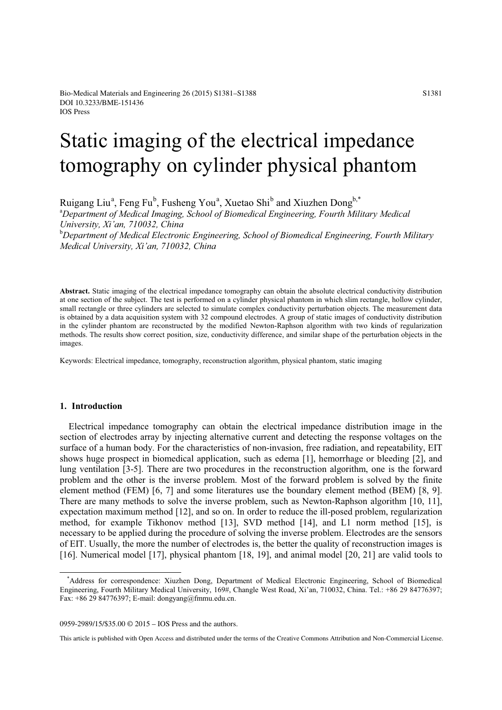# Static imaging of the electrical impedance tomography on cylinder physical phantom

Ruigang Liu<sup>a</sup>, Feng Fu<sup>b</sup>, Fusheng You<sup>a</sup>, Xuetao Shi<sup>b</sup> and Xiuzhen Dong<sup>b,\*</sup>

<sup>a</sup>Department of Medical Imaging, School of Biomedical Engineering, Fourth Military Medical *University, Xi'an, 710032, China*

b *Department of Medical Electronic Engineering, School of Biomedical Engineering, Fourth Military Medical University, Xi'an, 710032, China*

**Abstract.** Static imaging of the electrical impedance tomography can obtain the absolute electrical conductivity distribution at one section of the subject. The test is performed on a cylinder physical phantom in which slim rectangle, hollow cylinder, small rectangle or three cylinders are selected to simulate complex conductivity perturbation objects. The measurement data is obtained by a data acquisition system with 32 compound electrodes. A group of static images of conductivity distribution in the cylinder phantom are reconstructed by the modified Newton-Raphson algorithm with two kinds of regularization methods. The results show correct position, size, conductivity difference, and similar shape of the perturbation objects in the images.

Keywords: Electrical impedance, tomography, reconstruction algorithm, physical phantom, static imaging

#### **1. Introduction**

Electrical impedance tomography can obtain the electrical impedance distribution image in the section of electrodes array by injecting alternative current and detecting the response voltages on the surface of a human body. For the characteristics of non-invasion, free radiation, and repeatability, EIT shows huge prospect in biomedical application, such as edema [1], hemorrhage or bleeding [2], and lung ventilation [3-5]. There are two procedures in the reconstruction algorithm, one is the forward problem and the other is the inverse problem. Most of the forward problem is solved by the finite element method (FEM) [6, 7] and some literatures use the boundary element method (BEM) [8, 9]. There are many methods to solve the inverse problem, such as Newton-Raphson algorithm [10, 11], expectation maximum method [12], and so on. In order to reduce the ill-posed problem, regularization method, for example Tikhonov method [13], SVD method [14], and L1 norm method [15], is necessary to be applied during the procedure of solving the inverse problem. Electrodes are the sensors of EIT. Usually, the more the number of electrodes is, the better the quality of reconstruction images is [16]. Numerical model [17], physical phantom [18, 19], and animal model [20, 21] are valid tools to

0959-2989/15/\$35.00 © 2015 – IOS Press and the authors.

This article is published with Open Access and distributed under the terms of the Creative Commons Attribution and Non-Commercial License.

<sup>\*</sup>Address for correspondence: Xiuzhen Dong, Department of Medical Electronic Engineering, School of Biomedical Engineering, Fourth Military Medical University, 169#, Changle West Road, Xi'an, 710032, China. Tel.: +86 29 84776397; Fax: +86 29 84776397; E-mail: dongyang@fmmu.edu.cn.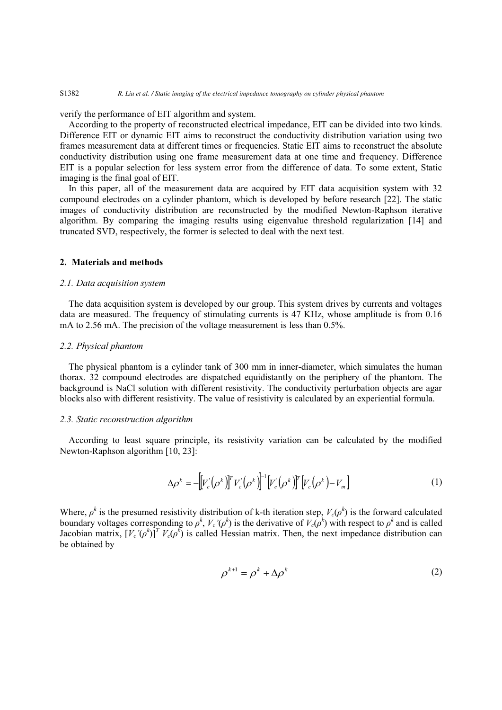verify the performance of EIT algorithm and system.

According to the property of reconstructed electrical impedance, EIT can be divided into two kinds. Difference EIT or dynamic EIT aims to reconstruct the conductivity distribution variation using two frames measurement data at different times or frequencies. Static EIT aims to reconstruct the absolute conductivity distribution using one frame measurement data at one time and frequency. Difference EIT is a popular selection for less system error from the difference of data. To some extent, Static imaging is the final goal of EIT.

In this paper, all of the measurement data are acquired by EIT data acquisition system with 32 compound electrodes on a cylinder phantom, which is developed by before research [22]. The static images of conductivity distribution are reconstructed by the modified Newton-Raphson iterative algorithm. By comparing the imaging results using eigenvalue threshold regularization [14] and truncated SVD, respectively, the former is selected to deal with the next test.

#### **2. Materials and methods**

### *2.1. Data acquisition system*

The data acquisition system is developed by our group. This system drives by currents and voltages data are measured. The frequency of stimulating currents is 47 KHz, whose amplitude is from 0.16 mA to 2.56 mA. The precision of the voltage measurement is less than 0.5%.

#### *2.2. Physical phantom*

The physical phantom is a cylinder tank of 300 mm in inner-diameter, which simulates the human thorax. 32 compound electrodes are dispatched equidistantly on the periphery of the phantom. The background is NaCl solution with different resistivity. The conductivity perturbation objects are agar blocks also with different resistivity. The value of resistivity is calculated by an experiential formula.

# *2.3. Static reconstruction algorithm*

According to least square principle, its resistivity variation can be calculated by the modified Newton-Raphson algorithm [10, 23]:

$$
\Delta \rho^k = -\Big[ V_c(\rho^k) \Big]^T V_c(\rho^k) \Big]^{-1} \Big[ V_c(\rho^k) \Big]^T \Big[ V_c(\rho^k) - V_m \Big] \tag{1}
$$

Where,  $\rho^k$  is the presumed resistivity distribution of k-th iteration step,  $V_c(\rho^k)$  is the forward calculated boundary voltages corresponding to  $\rho^k$ ,  $V_c'(\rho^k)$  is the derivative of  $V_c(\rho^k)$  with respect to  $\rho^k$  and is called Jacobian matrix,  $[V_c'(\rho^k)]^T V_c(\rho^k)$  is called Hessian matrix. Then, the next impedance distribution can be obtained by

$$
\rho^{k+1} = \rho^k + \Delta \rho^k \tag{2}
$$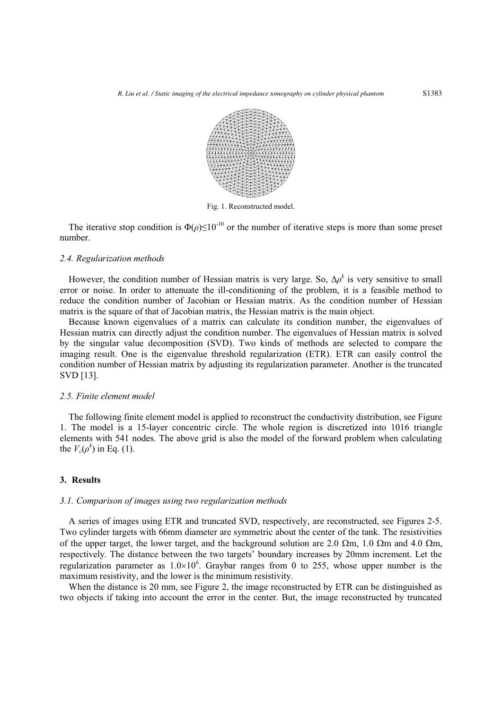

Fig. 1. Reconstructed model.

The iterative stop condition is  $\Phi(\rho) \leq 10^{-10}$  or the number of iterative steps is more than some preset number.

#### *2.4. Regularization methods*

However, the condition number of Hessian matrix is very large. So,  $\Delta \rho^k$  is very sensitive to small error or noise. In order to attenuate the ill-conditioning of the problem, it is a feasible method to reduce the condition number of Jacobian or Hessian matrix. As the condition number of Hessian matrix is the square of that of Jacobian matrix, the Hessian matrix is the main object.

Because known eigenvalues of a matrix can calculate its condition number, the eigenvalues of Hessian matrix can directly adjust the condition number. The eigenvalues of Hessian matrix is solved by the singular value decomposition (SVD). Two kinds of methods are selected to compare the imaging result. One is the eigenvalue threshold regularization (ETR). ETR can easily control the condition number of Hessian matrix by adjusting its regularization parameter. Another is the truncated SVD [13].

#### *2.5. Finite element model*

The following finite element model is applied to reconstruct the conductivity distribution, see Figure 1. The model is a 15-layer concentric circle. The whole region is discretized into 1016 triangle elements with 541 nodes. The above grid is also the model of the forward problem when calculating the  $V_c(\rho^k)$  in Eq. (1).

### **3. Results**

#### *3.1. Comparison of images using two regularization methods*

A series of images using ETR and truncated SVD, respectively, are reconstructed, see Figures 2-5. Two cylinder targets with 66mm diameter are symmetric about the center of the tank. The resistivities of the upper target, the lower target, and the background solution are 2.0  $\Omega$ m, 1.0  $\Omega$ m and 4.0  $\Omega$ m, respectively. The distance between the two targets' boundary increases by 20mm increment. Let the regularization parameter as  $1.0 \times 10^6$ . Graybar ranges from 0 to 255, whose upper number is the maximum resistivity, and the lower is the minimum resistivity.

When the distance is 20 mm, see Figure 2, the image reconstructed by ETR can be distinguished as two objects if taking into account the error in the center. But, the image reconstructed by truncated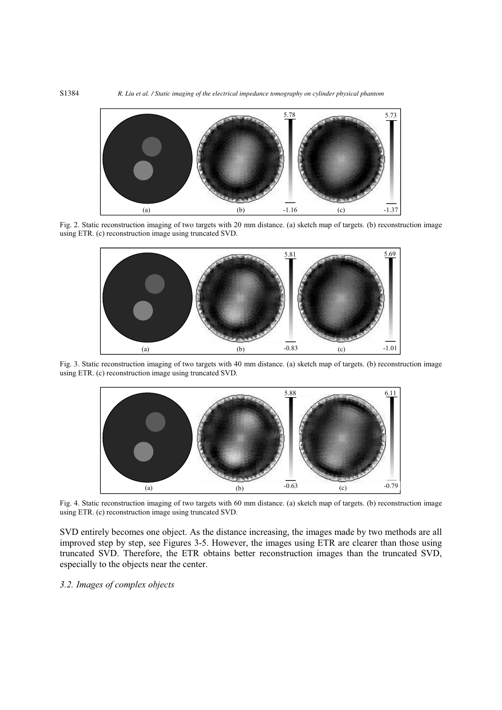

Fig. 2. Static reconstruction imaging of two targets with 20 mm distance. (a) sketch map of targets. (b) reconstruction image using ETR. (c) reconstruction image using truncated SVD.



Fig. 3. Static reconstruction imaging of two targets with 40 mm distance. (a) sketch map of targets. (b) reconstruction image using ETR. (c) reconstruction image using truncated SVD.



Fig. 4. Static reconstruction imaging of two targets with 60 mm distance. (a) sketch map of targets. (b) reconstruction image using ETR. (c) reconstruction image using truncated SVD.

SVD entirely becomes one object. As the distance increasing, the images made by two methods are all improved step by step, see Figures 3-5. However, the images using ETR are clearer than those using truncated SVD. Therefore, the ETR obtains better reconstruction images than the truncated SVD, especially to the objects near the center.

*3.2. Images of complex objects*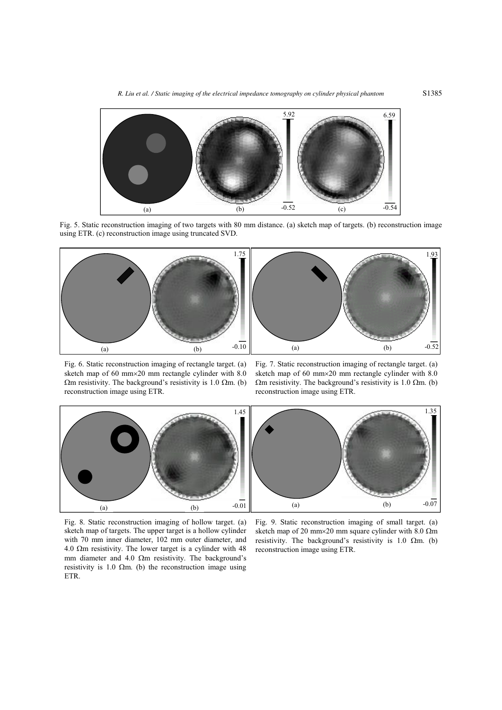

Fig. 5. Static reconstruction imaging of two targets with 80 mm distance. (a) sketch map of targets. (b) reconstruction image using ETR. (c) reconstruction image using truncated SVD.



Fig. 6. Static reconstruction imaging of rectangle target. (a) sketch map of 60 mm20 mm rectangle cylinder with 8.0  $\Omega$ m resistivity. The background's resistivity is 1.0  $\Omega$ m. (b) reconstruction image using ETR.

Fig. 7. Static reconstruction imaging of rectangle target. (a) sketch map of 60 mm20 mm rectangle cylinder with 8.0  $\Omega$ m resistivity. The background's resistivity is 1.0  $\Omega$ m. (b) reconstruction image using ETR.



Fig. 8. Static reconstruction imaging of hollow target. (a) sketch map of targets. The upper target is a hollow cylinder with 70 mm inner diameter, 102 mm outer diameter, and 4.0  $\Omega$ m resistivity. The lower target is a cylinder with 48 mm diameter and 4.0  $\Omega$ m resistivity. The background's resistivity is 1.0  $\Omega$ m. (b) the reconstruction image using ETR.

Fig. 9. Static reconstruction imaging of small target. (a) sketch map of 20 mm×20 mm square cylinder with 8.0  $\Omega$ m resistivity. The background's resistivity is 1.0  $\Omega$ m. (b) reconstruction image using ETR.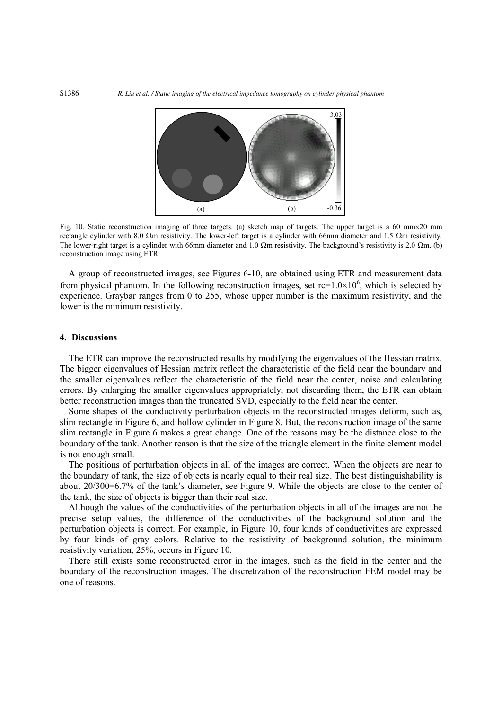

Fig. 10. Static reconstruction imaging of three targets. (a) sketch map of targets. The upper target is a 60 mm $\times$ 20 mm rectangle cylinder with 8.0  $\Omega$ m resistivity. The lower-left target is a cylinder with 66mm diameter and 1.5  $\Omega$ m resistivity. The lower-right target is a cylinder with 66mm diameter and 1.0  $\Omega$ m resistivity. The background's resistivity is 2.0  $\Omega$ m. (b) reconstruction image using ETR.

A group of reconstructed images, see Figures 6-10, are obtained using ETR and measurement data from physical phantom. In the following reconstruction images, set  $rc=1.0\times10^6$ , which is selected by experience. Graybar ranges from 0 to 255, whose upper number is the maximum resistivity, and the lower is the minimum resistivity.

# **4. Discussions**

The ETR can improve the reconstructed results by modifying the eigenvalues of the Hessian matrix. The bigger eigenvalues of Hessian matrix reflect the characteristic of the field near the boundary and the smaller eigenvalues reflect the characteristic of the field near the center, noise and calculating errors. By enlarging the smaller eigenvalues appropriately, not discarding them, the ETR can obtain better reconstruction images than the truncated SVD, especially to the field near the center.

Some shapes of the conductivity perturbation objects in the reconstructed images deform, such as, slim rectangle in Figure 6, and hollow cylinder in Figure 8. But, the reconstruction image of the same slim rectangle in Figure 6 makes a great change. One of the reasons may be the distance close to the boundary of the tank. Another reason is that the size of the triangle element in the finite element model is not enough small.

The positions of perturbation objects in all of the images are correct. When the objects are near to the boundary of tank, the size of objects is nearly equal to their real size. The best distinguishability is about 20/300=6.7% of the tank's diameter, see Figure 9. While the objects are close to the center of the tank, the size of objects is bigger than their real size.

Although the values of the conductivities of the perturbation objects in all of the images are not the precise setup values, the difference of the conductivities of the background solution and the perturbation objects is correct. For example, in Figure 10, four kinds of conductivities are expressed by four kinds of gray colors. Relative to the resistivity of background solution, the minimum resistivity variation, 25%, occurs in Figure 10.

There still exists some reconstructed error in the images, such as the field in the center and the boundary of the reconstruction images. The discretization of the reconstruction FEM model may be one of reasons.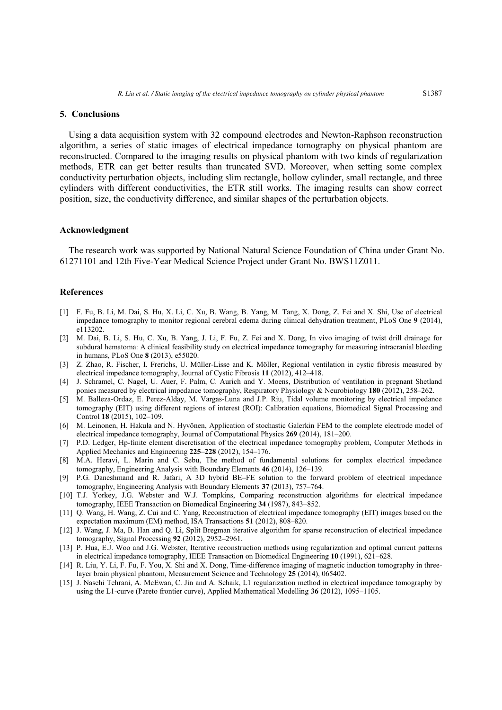## **5. Conclusions**

Using a data acquisition system with 32 compound electrodes and Newton-Raphson reconstruction algorithm, a series of static images of electrical impedance tomography on physical phantom are reconstructed. Compared to the imaging results on physical phantom with two kinds of regularization methods, ETR can get better results than truncated SVD. Moreover, when setting some complex conductivity perturbation objects, including slim rectangle, hollow cylinder, small rectangle, and three cylinders with different conductivities, the ETR still works. The imaging results can show correct position, size, the conductivity difference, and similar shapes of the perturbation objects.

## **Acknowledgment**

The research work was supported by National Natural Science Foundation of China under Grant No. 61271101 and 12th Five-Year Medical Science Project under Grant No. BWS11Z011.

#### **References**

- [1] F. Fu, B. Li, M. Dai, S. Hu, X. Li, C. Xu, B. Wang, B. Yang, M. Tang, X. Dong, Z. Fei and X. Shi, Use of electrical impedance tomography to monitor regional cerebral edema during clinical dehydration treatment, PLoS One **9** (2014), e113202.
- [2] M. Dai, B. Li, S. Hu, C. Xu, B. Yang, J. Li, F. Fu, Z. Fei and X. Dong, In vivo imaging of twist drill drainage for subdural hematoma: A clinical feasibility study on electrical impedance tomography for measuring intracranial bleeding in humans, PLoS One **8** (2013), e55020.
- [3] Z. Zhao, R. Fischer, I. Frerichs, U. Müller-Lisse and K. Möller, Regional ventilation in cystic fibrosis measured by electrical impedance tomography, Journal of Cystic Fibrosis **11** (2012), 412–418.
- [4] J. Schramel, C. Nagel, U. Auer, F. Palm, C. Aurich and Y. Moens, Distribution of ventilation in pregnant Shetland ponies measured by electrical impedance tomography, Respiratory Physiology & Neurobiology **180** (2012), 258–262.
- [5] M. Balleza-Ordaz, E. Perez-Alday, M. Vargas-Luna and J.P. Riu, Tidal volume monitoring by electrical impedance tomography (EIT) using different regions of interest (ROI): Calibration equations, Biomedical Signal Processing and Control **18** (2015), 102–109.
- [6] M. Leinonen, H. Hakula and N. Hyvönen, Application of stochastic Galerkin FEM to the complete electrode model of electrical impedance tomography, Journal of Computational Physics **269** (2014), 181–200.
- [7] P.D. Ledger, Hp-finite element discretisation of the electrical impedance tomography problem, Computer Methods in Applied Mechanics and Engineering **225**–**228** (2012), 154–176.
- [8] M.A. Heravi, L. Marin and C. Sebu, The method of fundamental solutions for complex electrical impedance tomography, Engineering Analysis with Boundary Elements **46** (2014), 126–139.
- [9] P.G. Daneshmand and R. Jafari, A 3D hybrid BE–FE solution to the forward problem of electrical impedance tomography, Engineering Analysis with Boundary Elements **37** (2013), 757–764.
- [10] T.J. Yorkey, J.G. Webster and W.J. Tompkins, Comparing reconstruction algorithms for electrical impedance tomography, IEEE Transaction on Biomedical Engineering **34** (1987), 843–852.
- [11] Q. Wang, H. Wang, Z. Cui and C. Yang, Reconstruction of electrical impedance tomography (EIT) images based on the expectation maximum (EM) method, ISA Transactions **51** (2012), 808–820.
- [12] J. Wang, J. Ma, B. Han and Q. Li, Split Bregman iterative algorithm for sparse reconstruction of electrical impedance tomography, Signal Processing **92** (2012), 2952–2961.
- [13] P. Hua, E.J. Woo and J.G. Webster, Iterative reconstruction methods using regularization and optimal current patterns in electrical impedance tomography, IEEE Transaction on Biomedical Engineering **10** (1991), 621–628.
- [14] R. Liu, Y. Li, F. Fu, F. You, X. Shi and X. Dong, Time-difference imaging of magnetic induction tomography in threelayer brain physical phantom, Measurement Science and Technology **25** (2014), 065402.
- [15] J. Nasehi Tehrani, A. McEwan, C. Jin and A. Schaik, L1 regularization method in electrical impedance tomography by using the L1-curve (Pareto frontier curve), Applied Mathematical Modelling **36** (2012), 1095–1105.